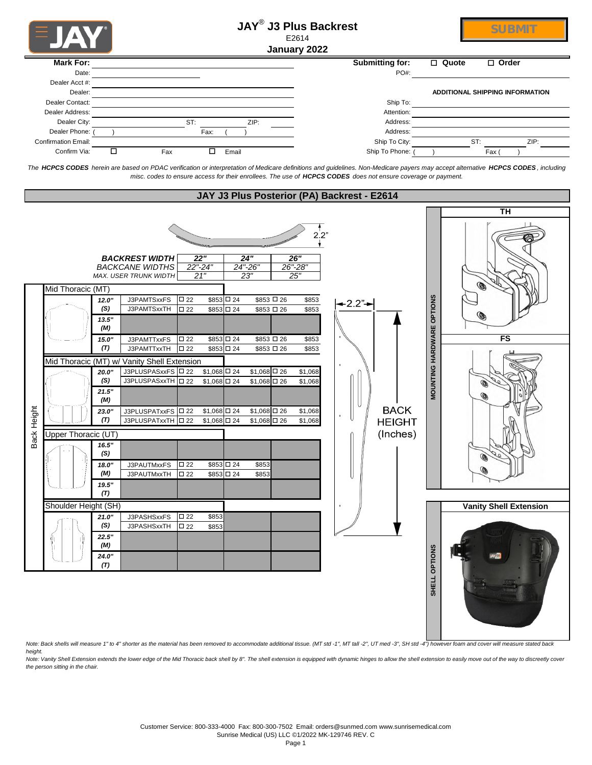|             | FJA                        |              |                                                                                                               |                                                |                          |                          | <b>JAY<sup>®</sup> J3 Plus Backrest</b><br>E2614<br>January 2022 |                                             |                        |                           | <b>SUBMIT</b>                                                                                                                                                                     |
|-------------|----------------------------|--------------|---------------------------------------------------------------------------------------------------------------|------------------------------------------------|--------------------------|--------------------------|------------------------------------------------------------------|---------------------------------------------|------------------------|---------------------------|-----------------------------------------------------------------------------------------------------------------------------------------------------------------------------------|
|             | <b>Mark For:</b>           |              |                                                                                                               |                                                |                          |                          |                                                                  |                                             | <b>Submitting for:</b> |                           | □ Quote<br>$\Box$ Order                                                                                                                                                           |
|             | Date:                      |              |                                                                                                               |                                                |                          |                          |                                                                  |                                             | PO#:                   |                           |                                                                                                                                                                                   |
|             | Dealer Acct #:             |              |                                                                                                               |                                                |                          |                          |                                                                  |                                             |                        |                           |                                                                                                                                                                                   |
|             | Dealer:<br>Dealer Contact: |              |                                                                                                               |                                                |                          |                          |                                                                  |                                             | Ship To:               |                           | ADDITIONAL SHIPPING INFORMATION                                                                                                                                                   |
|             | Dealer Address:            |              |                                                                                                               |                                                |                          |                          |                                                                  |                                             | Attention:             |                           |                                                                                                                                                                                   |
|             | Dealer City:               |              |                                                                                                               | ST:                                            |                          | ZIP:                     |                                                                  |                                             | Address:               |                           |                                                                                                                                                                                   |
|             | Dealer Phone:              |              |                                                                                                               | Fax:                                           |                          |                          |                                                                  |                                             | Address:               |                           |                                                                                                                                                                                   |
|             | <b>Confirmation Email:</b> |              |                                                                                                               |                                                |                          |                          |                                                                  |                                             | Ship To City:          |                           | ST:<br>ZIP:                                                                                                                                                                       |
|             | Confirm Via:               | □            | Fax                                                                                                           | □                                              | Email                    |                          |                                                                  |                                             | Ship To Phone: (       |                           | Fax                                                                                                                                                                               |
|             |                            |              | misc. codes to ensure access for their enrollees. The use of HCPCS CODES does not ensure coverage or payment. |                                                |                          |                          |                                                                  | JAY J3 Plus Posterior (PA) Backrest - E2614 |                        |                           | The HCPCS CODES herein are based on PDAC verification or interpretation of Medicare definitions and guidelines. Non-Medicare payers may accept alternative HCPCS CODES, including |
|             |                            |              |                                                                                                               |                                                |                          |                          |                                                                  |                                             |                        |                           |                                                                                                                                                                                   |
|             |                            |              |                                                                                                               |                                                |                          |                          |                                                                  |                                             |                        |                           | <b>TH</b>                                                                                                                                                                         |
|             |                            |              | <b>BACKREST WIDTH</b><br><b>BACKCANE WIDTHS</b><br>MAX. USER TRUNK WIDTH                                      | $\overline{22}$ "<br>$22 - 24$<br>21"          | 24"<br>24"-26"<br>23"    |                          | $2^{1}_{.2"}$<br>26"<br>26"-28"<br>25'                           |                                             |                        |                           | 0                                                                                                                                                                                 |
|             | Mid Thoracic (MT)          |              |                                                                                                               |                                                |                          |                          |                                                                  |                                             |                        |                           |                                                                                                                                                                                   |
|             |                            | 12.0"<br>(S) | J3PAMTSxxFS<br>J3PAMTSxxTH                                                                                    | $\square$ 22<br>$\square$ 22                   | \$853 □ 24<br>\$853 □ 24 | \$853 □ 26<br>\$853 □ 26 | \$853<br>\$853                                                   | -2.2"→                                      |                        |                           |                                                                                                                                                                                   |
|             |                            | 13.5"        |                                                                                                               |                                                |                          |                          |                                                                  |                                             |                        |                           | (@                                                                                                                                                                                |
|             |                            | (M)          |                                                                                                               |                                                |                          |                          |                                                                  |                                             |                        |                           |                                                                                                                                                                                   |
|             |                            | 15.0"        | J3PAMTTxxFS                                                                                                   | $\square$ 22                                   | \$853 □ 24               | \$853 □ 26               | \$853                                                            |                                             |                        |                           | <b>FS</b>                                                                                                                                                                         |
|             |                            | (T)          | J3PAMTTxxTH                                                                                                   | □ 22                                           | \$853 □ 24               | \$853 □ 26               | \$853                                                            |                                             |                        | MOUNTING HARDWARE OPTIONS |                                                                                                                                                                                   |
|             |                            |              | Mid Thoracic (MT) w/ Vanity Shell Extension<br>J3PLUSPASxxFS   0 22                                           |                                                | $$1,068$ $\square$ 24    | $$1,068$ $\Box$ 26       | \$1,068                                                          |                                             |                        |                           |                                                                                                                                                                                   |
|             |                            | 20.0"<br>(S) | J3PLUSPASxxTH   0 22                                                                                          |                                                | $$1,068$ $\square$ 24    | $$1,068$ <sup>D</sup> 26 | \$1,068                                                          |                                             |                        |                           | Q                                                                                                                                                                                 |
|             |                            | 21.5"        |                                                                                                               |                                                |                          |                          |                                                                  |                                             |                        |                           |                                                                                                                                                                                   |
|             |                            | (M)          |                                                                                                               |                                                |                          |                          |                                                                  |                                             |                        |                           | $\circledcirc$                                                                                                                                                                    |
|             |                            | 23.0"        | J3PLUSPATxxFS 0 22                                                                                            |                                                | $$1,068$ $\square$ 24    | $$1,068$ <sup>D</sup> 26 | \$1,068                                                          |                                             | <b>BACK</b>            |                           |                                                                                                                                                                                   |
| Back Height |                            | (T)          | J3PLUSPATxxTH   22                                                                                            |                                                | $$1,068$ $\square$ 24    | $$1,068$ $\Box$ 26       | \$1,068                                                          |                                             | <b>HEIGHT</b>          |                           |                                                                                                                                                                                   |
|             | Upper Thoracic (UT)        |              |                                                                                                               |                                                |                          |                          |                                                                  |                                             | (Inches)               |                           |                                                                                                                                                                                   |
|             |                            | 16.5"<br>(S) |                                                                                                               |                                                |                          |                          |                                                                  |                                             |                        |                           |                                                                                                                                                                                   |
|             |                            | 18.0"        | J3PAUTMxxFS                                                                                                   | $\square$ 22                                   | \$853 □ 24               | \$853                    |                                                                  |                                             |                        |                           |                                                                                                                                                                                   |
|             |                            | (M)          | J3PAUTMxxTH                                                                                                   | $\square$ 22                                   | \$853 □ 24               | \$853                    |                                                                  |                                             |                        |                           |                                                                                                                                                                                   |
|             |                            | 19.5"        |                                                                                                               |                                                |                          |                          |                                                                  |                                             |                        |                           |                                                                                                                                                                                   |
|             |                            | (T)          |                                                                                                               |                                                |                          |                          |                                                                  |                                             |                        |                           |                                                                                                                                                                                   |
|             | Shoulder Height (SH)       |              |                                                                                                               |                                                |                          |                          |                                                                  |                                             |                        |                           | <b>Vanity Shell Extension</b>                                                                                                                                                     |
|             |                            | 21.0"<br>(S) | J3PASHSxxFS<br>J3PASHSxxTH                                                                                    | $\square$ 22<br>\$853<br>$\square$ 22<br>\$853 |                          |                          |                                                                  |                                             |                        |                           |                                                                                                                                                                                   |
|             |                            | 22.5"        |                                                                                                               |                                                |                          |                          |                                                                  |                                             |                        |                           |                                                                                                                                                                                   |
|             |                            | (M)          |                                                                                                               |                                                |                          |                          |                                                                  |                                             |                        |                           |                                                                                                                                                                                   |
|             |                            | 24.0"        |                                                                                                               |                                                |                          |                          |                                                                  |                                             |                        |                           |                                                                                                                                                                                   |
|             |                            | (T)          |                                                                                                               |                                                |                          |                          |                                                                  |                                             |                        |                           |                                                                                                                                                                                   |
|             |                            |              |                                                                                                               |                                                |                          |                          |                                                                  |                                             |                        | SHELL OPTIONS             |                                                                                                                                                                                   |

Note: Back shells will measure 1" to 4" shorter as the material has been removed to accommodate additional tissue. (MT std -1", MT tall -2", UT med -3", SH std -4") however foam and cover will measure stated back<br>height.

Note: Vanity Shell Extension extends the lower edge of the Mid Thoracic back shell by 8". The shell extension is equipped with dynamic hinges to allow the shell extension to easily move out of the way to discreetly cover<br>t

**SHE**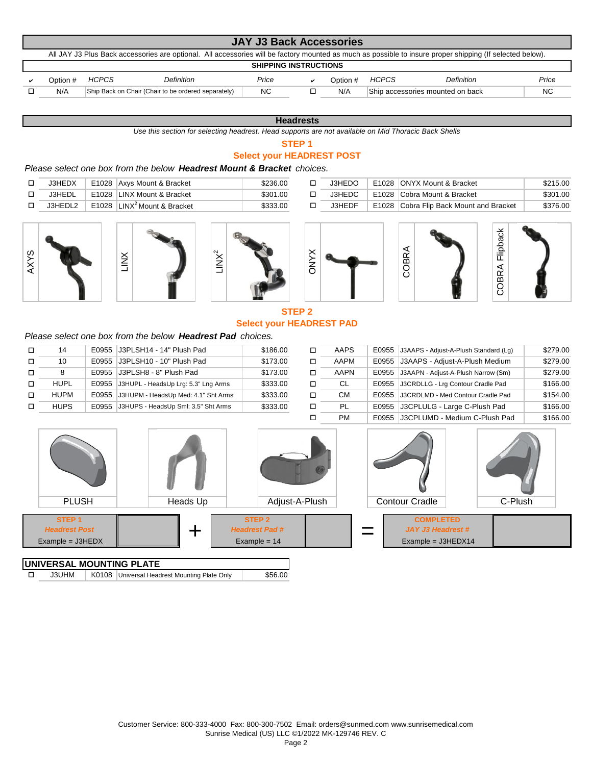|          |              |                                                                                                                                                           | <b>JAY J3 Back Accessories</b> |          |              |                                  |           |
|----------|--------------|-----------------------------------------------------------------------------------------------------------------------------------------------------------|--------------------------------|----------|--------------|----------------------------------|-----------|
|          |              | All JAY J3 Plus Back accessories are optional. All accessories will be factory mounted as much as possible to insure proper shipping (If selected below). |                                |          |              |                                  |           |
|          |              |                                                                                                                                                           | <b>SHIPPING INSTRUCTIONS</b>   |          |              |                                  |           |
| Option # | <b>HCPCS</b> | <b>Definition</b>                                                                                                                                         | Price                          | Option # | <b>HCPCS</b> | <b>Definition</b>                | Price     |
| N/A      |              | Ship Back on Chair (Chair to be ordered separately)                                                                                                       | <b>NC</b>                      | N/A      |              | Ship accessories mounted on back | <b>NC</b> |

## **Headrests**

*Use this section for selecting headrest. Head supports are not available on Mid Thoracic Back Shells*

# **STEP 1**

# **Select your HEADREST POST**

# *Please select one box from the below Headrest Mount & Bracket choices.*

| J3HEDX        | E1028 Axys Mount & Bracket                     | \$236.00 | J3HEDO | E1028 ONYX Mount & Bracket              | \$215.00 |
|---------------|------------------------------------------------|----------|--------|-----------------------------------------|----------|
| <b>J3HEDL</b> | E1028 LINX Mount & Bracket                     | \$301.00 | J3HEDC | E1028 Cobra Mount & Bracket             | \$301.00 |
| J3HEDL2       | <b>E1028</b> LINX <sup>2</sup> Mount & Bracket | \$333.00 | J3HEDF | E1028 Cobra Flip Back Mount and Bracket | \$376.00 |











# **STEP 2 Select your HEADREST PAD**

ONYX

# *Please select one box from the below Headrest Pad choices.*

| □      | 14          |       | E0955 J3PLSH14 - 14" Plush Pad            | \$186.00 |   | AAPS        | E0955 J3AAPS - Adjust-A-Plush Standard (Lg) | \$279.00 |
|--------|-------------|-------|-------------------------------------------|----------|---|-------------|---------------------------------------------|----------|
| $\Box$ | 10          | E0955 | J3PLSH10 - 10" Plush Pad                  | \$173.00 |   | AAPM        | E0955 J3AAPS - Adiust-A-Plush Medium        | \$279.00 |
| $\Box$ |             |       | E0955 J3PLSH8 - 8" Plush Pad              | \$173.00 |   | <b>AAPN</b> | E0955 J3AAPN - Adjust-A-Plush Narrow (Sm)   | \$279.00 |
| п      | <b>HUPL</b> |       | E0955 J3HUPL - HeadsUp Lrg: 5.3" Lng Arms | \$333.00 | □ | -CL         | E0955 J3CRDLLG - Lra Contour Cradle Pad     | \$166.00 |
| $\Box$ | <b>HUPM</b> | E0955 | J3HUPM - HeadsUp Med: 4.1" Sht Arms       | \$333.00 |   | CМ          | E0955 J3CRDLMD - Med Contour Cradle Pad     | \$154.00 |
| □      | <b>HUPS</b> | E0955 | J3HUPS - HeadsUp Sml: 3.5" Sht Arms       | \$333.00 | □ | PL          | E0955 J3CPLULG - Large C-Plush Pad          | \$166.00 |
|        |             |       |                                           |          |   | <b>PM</b>   | E0955 J3CPLUMD - Medium C-Plush Pad         | \$166.00 |

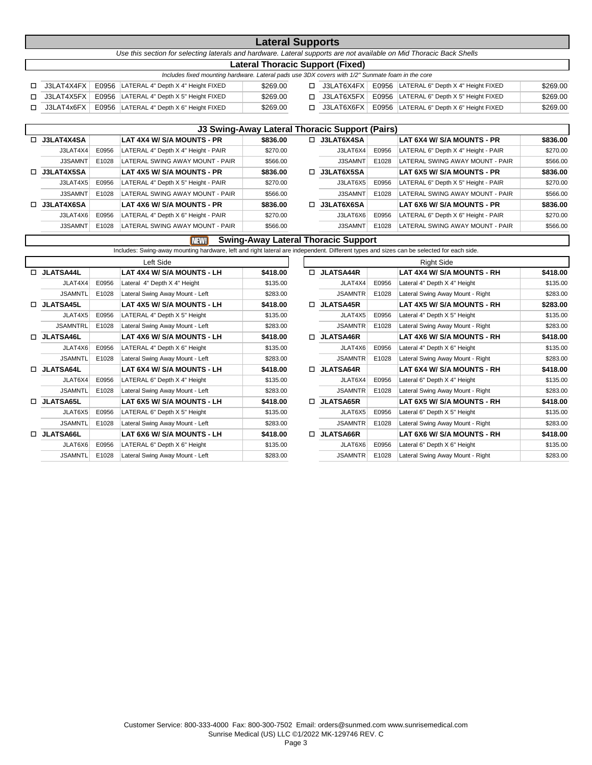|    |            |                                                                                                                      | <b>Lateral Supports</b>          |    |              |                                          |          |
|----|------------|----------------------------------------------------------------------------------------------------------------------|----------------------------------|----|--------------|------------------------------------------|----------|
|    |            | Use this section for selecting laterals and hardware. Lateral supports are not available on Mid Thoracic Back Shells |                                  |    |              |                                          |          |
|    |            |                                                                                                                      | Lateral Thoracic Support (Fixed) |    |              |                                          |          |
|    |            | Includes fixed mounting hardware. Lateral pads use 3DX covers with 1/2" Sunmate foam in the core                     |                                  |    |              |                                          |          |
| п. | J3LAT4X4FX | E0956 LATERAL 4" Depth X 4" Height FIXED                                                                             | \$269.00                         |    | □ J3LAT6X4FX | E0956 LATERAL 6" Depth X 4" Height FIXED | \$269.00 |
| п. | J3LAT4X5FX | E0956 LATERAL 4" Depth X 5" Height FIXED                                                                             | \$269.00                         | П. | J3LAT6X5FX   | E0956 LATERAL 6" Depth X 5" Height FIXED | \$269.00 |
|    | J3LAT4x6FX | E0956 LATERAL 4" Depth X 6" Height FIXED                                                                             | \$269.00                         | п. | J3LAT6X6FX   | E0956 LATERAL 6" Depth X 6" Height FIXED | \$269.00 |
|    |            |                                                                                                                      |                                  |    |              |                                          |          |

|                   |       |                                     |          |    | J3 Swing-Away Lateral Thoracic Support (Pairs) |       |                                     |          |
|-------------------|-------|-------------------------------------|----------|----|------------------------------------------------|-------|-------------------------------------|----------|
| $\Box$ J3LAT4X4SA |       | LAT 4X4 W/ S/A MOUNTS - PR          | \$836.00 | П. | J3LAT6X4SA                                     |       | LAT 6X4 W/ S/A MOUNTS - PR          | \$836.00 |
| J3LAT4X4          | E0956 | LATERAL 4" Depth X 4" Height - PAIR | \$270.00 |    | J3LAT6X4                                       | E0956 | LATERAL 6" Depth X 4" Height - PAIR | \$270.00 |
| J3SAMNT           | E1028 | LATERAL SWING AWAY MOUNT - PAIR     | \$566.00 |    | J3SAMNT                                        | E1028 | LATERAL SWING AWAY MOUNT - PAIR     | \$566.00 |
| $\Box$ J3LAT4X5SA |       | LAT 4X5 W/ S/A MOUNTS - PR          | \$836.00 |    | <b>J3LAT6X5SA</b>                              |       | LAT 6X5 W/ S/A MOUNTS - PR          | \$836.00 |
| J3LAT4X5          | E0956 | LATERAL 4" Depth X 5" Height - PAIR | \$270.00 |    | J3LAT6X5                                       | E0956 | LATERAL 6" Depth X 5" Height - PAIR | \$270.00 |
| J3SAMNT           | E1028 | LATERAL SWING AWAY MOUNT - PAIR     | \$566.00 |    | J3SAMNT                                        | E1028 | LATERAL SWING AWAY MOUNT - PAIR     | \$566.00 |
| $\Box$ J3LAT4X6SA |       | LAT 4X6 W/ S/A MOUNTS - PR          | \$836.00 | п. | <b>J3LAT6X6SA</b>                              |       | LAT 6X6 W/ S/A MOUNTS - PR          | \$836.00 |
| J3LAT4X6          | E0956 | LATERAL 4" Depth X 6" Height - PAIR | \$270.00 |    | J3LAT6X6                                       | E0956 | LATERAL 6" Depth X 6" Height - PAIR | \$270.00 |
| J3SAMNT           | E1028 | LATERAL SWING AWAY MOUNT - PAIR     | \$566.00 |    | J3SAMNT                                        | E1028 | LATERAL SWING AWAY MOUNT - PAIR     | \$566.00 |

### NEW! **Swing-Away Lateral Thoracic Support**

Includes: Swing-away mounting hardware, left and right lateral are independent. Different types and sizes can be selected for each side.

|    |                  |       | Left Side                       |          |    |                  |       | <b>Right Side</b>    |
|----|------------------|-------|---------------------------------|----------|----|------------------|-------|----------------------|
| п. | <b>JLATSA44L</b> |       | LAT 4X4 W/ S/A MOUNTS - LH      | \$418.00 | П. | <b>JLATSA44R</b> |       | LAT 4X4 W/ S/A       |
|    | JLAT4X4          | E0956 | Lateral 4" Depth X 4" Height    | \$135.00 |    | JLAT4X4          | E0956 | Lateral 4" Depth X 4 |
|    | <b>JSAMNTL</b>   | E1028 | Lateral Swing Away Mount - Left | \$283.00 |    | <b>JSAMNTR</b>   | E1028 | Lateral Swing Away   |
|    | <b>JLATSA45L</b> |       | LAT 4X5 W/ S/A MOUNTS - LH      | \$418.00 | п. | <b>JLATSA45R</b> |       | LAT 4X5 W/ S/A       |
|    | JLAT4X5          | E0956 | LATERAL 4" Depth X 5" Height    | \$135.00 |    | JLAT4X5          | E0956 | Lateral 4" Depth X 5 |
|    | <b>JSAMNTRL</b>  | E1028 | Lateral Swing Away Mount - Left | \$283.00 |    | <b>JSAMNTR</b>   | E1028 | Lateral Swing Away   |
| п  | <b>JLATSA46L</b> |       | LAT 4X6 W/ S/A MOUNTS - LH      | \$418.00 |    | <b>JLATSA46R</b> |       | LAT 4X6 W/ S/A       |
|    | JLAT4X6          | E0956 | LATERAL 4" Depth X 6" Height    | \$135.00 |    | JLAT4X6          | E0956 | Lateral 4" Depth X 6 |
|    | <b>JSAMNTL</b>   | E1028 | Lateral Swing Away Mount - Left | \$283.00 |    | <b>JSAMNTR</b>   | E1028 | Lateral Swing Away   |
| п. | <b>JLATSA64L</b> |       | LAT 6X4 W/ S/A MOUNTS - LH      | \$418.00 | п. | <b>JLATSA64R</b> |       | LAT 6X4 W/ S/A       |
|    | JLAT6X4          | E0956 | LATERAL 6" Depth X 4" Height    | \$135.00 |    | JLAT6X4          | E0956 | Lateral 6" Depth X 4 |
|    | <b>JSAMNTL</b>   | E1028 | Lateral Swing Away Mount - Left | \$283.00 |    | <b>JSAMNTR</b>   | E1028 | Lateral Swing Away   |
| п  | <b>JLATSA65L</b> |       | LAT 6X5 W/ S/A MOUNTS - LH      | \$418.00 | п. | <b>JLATSA65R</b> |       | LAT 6X5 W/ S/A       |
|    | JLAT6X5          | E0956 | LATERAL 6" Depth X 5" Height    | \$135.00 |    | JLAT6X5          | E0956 | Lateral 6" Depth X 5 |
|    | <b>JSAMNTL</b>   | E1028 | Lateral Swing Away Mount - Left | \$283.00 |    | <b>JSAMNTR</b>   | E1028 | Lateral Swing Away   |
|    | <b>JLATSA66L</b> |       | LAT 6X6 W/ S/A MOUNTS - LH      | \$418.00 | п. | <b>JLATSA66R</b> |       | LAT 6X6 W/ S/A       |
|    | JLAT6X6          | E0956 | LATERAL 6" Depth X 6" Height    | \$135.00 |    | JLAT6X6          | E0956 | Lateral 6" Depth X 6 |
|    | <b>JSAMNTL</b>   | E1028 | Lateral Swing Away Mount - Left | \$283.00 |    | <b>JSAMNTR</b>   | E1028 | Lateral Swing Away   |
|    |                  |       |                                 |          |    |                  |       |                      |

|                  |       | Left Side                       |          |    |                  |       | <b>Right Side</b>                |          |
|------------------|-------|---------------------------------|----------|----|------------------|-------|----------------------------------|----------|
| JLATSA44L        |       | LAT 4X4 W/ S/A MOUNTS - LH      | \$418.00 |    | <b>JLATSA44R</b> |       | LAT 4X4 W/ S/A MOUNTS - RH       | \$418.00 |
| JLAT4X4          | E0956 | Lateral 4" Depth X 4" Height    | \$135.00 |    | JLAT4X4          | E0956 | Lateral 4" Depth X 4" Height     | \$135.00 |
| JSAMNTL          | E1028 | Lateral Swing Away Mount - Left | \$283.00 |    | <b>JSAMNTR</b>   | E1028 | Lateral Swing Away Mount - Right | \$283.00 |
| <b>JLATSA45L</b> |       | LAT 4X5 W/ S/A MOUNTS - LH      | \$418.00 | П. | <b>JLATSA45R</b> |       | LAT 4X5 W/ S/A MOUNTS - RH       | \$283.00 |
| JLAT4X5          | E0956 | LATERAL 4" Depth X 5" Height    | \$135.00 |    | JLAT4X5          | E0956 | Lateral 4" Depth X 5" Height     | \$135.00 |
| <b>JSAMNTRL</b>  | E1028 | Lateral Swing Away Mount - Left | \$283.00 |    | <b>JSAMNTR</b>   | E1028 | Lateral Swing Away Mount - Right | \$283.00 |
| <b>JLATSA46L</b> |       | LAT 4X6 W/ S/A MOUNTS - LH      | \$418.00 | П. | <b>JLATSA46R</b> |       | LAT 4X6 W/ S/A MOUNTS - RH       | \$418.00 |
| JLAT4X6          | E0956 | LATERAL 4" Depth X 6" Height    | \$135.00 |    | JLAT4X6          | E0956 | Lateral 4" Depth X 6" Height     | \$135.00 |
| <b>JSAMNTL</b>   | E1028 | Lateral Swing Away Mount - Left | \$283.00 |    | <b>JSAMNTR</b>   | E1028 | Lateral Swing Away Mount - Right | \$283.00 |
| JLATSA64L        |       | LAT 6X4 W/ S/A MOUNTS - LH      | \$418.00 | □  | <b>JLATSA64R</b> |       | LAT 6X4 W/ S/A MOUNTS - RH       | \$418.00 |
| JLAT6X4          | E0956 | LATERAL 6" Depth X 4" Height    | \$135.00 |    | JLAT6X4          | E0956 | Lateral 6" Depth X 4" Height     | \$135.00 |
| <b>JSAMNTL</b>   | E1028 | Lateral Swing Away Mount - Left | \$283.00 |    | <b>JSAMNTR</b>   | E1028 | Lateral Swing Away Mount - Right | \$283.00 |
| JLATSA65L        |       | LAT 6X5 W/ S/A MOUNTS - LH      | \$418.00 | □  | <b>JLATSA65R</b> |       | LAT 6X5 W/ S/A MOUNTS - RH       | \$418.00 |
| JLAT6X5          | E0956 | LATERAL 6" Depth X 5" Height    | \$135.00 |    | JLAT6X5          | E0956 | Lateral 6" Depth X 5" Height     | \$135.00 |
| JSAMNTL          | E1028 | Lateral Swing Away Mount - Left | \$283.00 |    | <b>JSAMNTR</b>   | E1028 | Lateral Swing Away Mount - Right | \$283.00 |
| JLATSA66L        |       | LAT 6X6 W/ S/A MOUNTS - LH      | \$418.00 | П. | <b>JLATSA66R</b> |       | LAT 6X6 W/ S/A MOUNTS - RH       | \$418.00 |
| JLAT6X6          | E0956 | LATERAL 6" Depth X 6" Height    | \$135.00 |    | JLAT6X6          | E0956 | Lateral 6" Depth X 6" Height     | \$135.00 |
| <b>JSAMNTL</b>   | E1028 | Lateral Swing Away Mount - Left | \$283.00 |    | <b>JSAMNTR</b>   | E1028 | Lateral Swing Away Mount - Right | \$283.00 |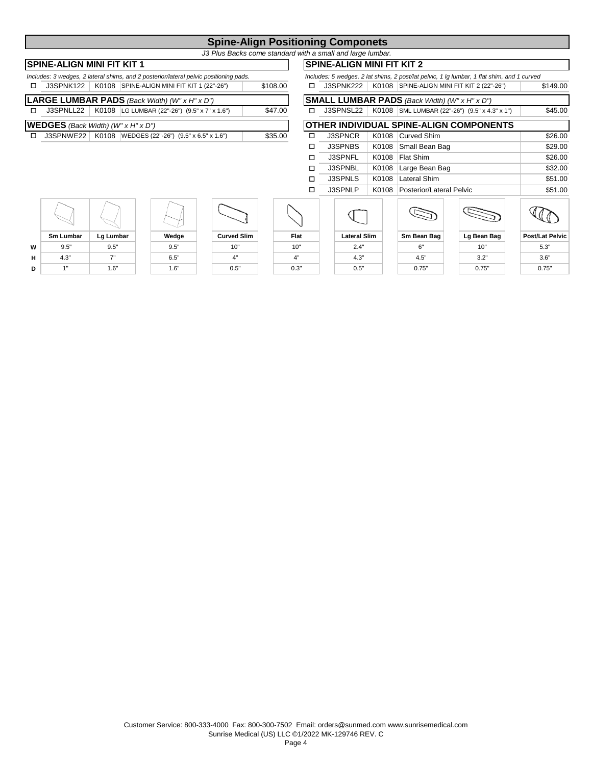# **Spine-Align Positioning Componets**

*J3 Plus Backs come standard with a small and large lumbar.*

# **SPINE-ALIGN MINI FIT KIT 1**

| Includes: 3 wedges, 2 lateral shims, and 2 posterior/lateral pelvic positioning pads. |          | Includes: 5 wedges, 2 lat shims, 2 post/lat pelvic, 1 lg lumbar, 1 flat shim, and 1 curved |
|---------------------------------------------------------------------------------------|----------|--------------------------------------------------------------------------------------------|
| J3SPNK122   K0108   SPINE-ALIGN MINI FIT KIT 1 (22"-26")                              | \$108.00 | J3SPNK222   K0108 SPINE-ALIGN MINI FIT KIT 2 (22"-26")                                     |
| <b>LARGE LUMBAR PADS</b> (Back Width) ( $W'' \times H'' \times D''$ )                 |          | <b>SMALL LUMBAR PADS</b> (Back Width) (W" x H" x D")                                       |
| J3SPNLL22   K0108   LG LUMBAR (22"-26") (9.5" x 7" x 1.6")                            | \$47.00  | J3SPNSL22   K0108   SML LUMBAR (22"-26") (9.5" x 4.3" x 1")<br>п.                          |
| <b>WEDGES</b> (Back Width) ( $W''$ x H" x D")                                         |          | <b>OTHER INDIVIDUAL SPINE-ALIGN COMPONENTS</b>                                             |
| $12$ CDNIME 22   KO108   MEDCES (22"-26") (Q 5" y 6 5" y 1 6")<br>m.                  | Q2500    | K0108 Cuniod Shim<br><b>RODNOD</b><br><b>m</b>                                             |

|    |                                                                                      |           |                                                |                    |          |         |   |                     | <u>U INL-ALIUN MINI I II INI Z</u> |                                                      |                                                                                            |                        |
|----|--------------------------------------------------------------------------------------|-----------|------------------------------------------------|--------------------|----------|---------|---|---------------------|------------------------------------|------------------------------------------------------|--------------------------------------------------------------------------------------------|------------------------|
|    | ncludes: 3 wedges, 2 lateral shims, and 2 posterior/lateral pelvic positioning pads. |           |                                                |                    |          |         |   |                     |                                    |                                                      | Includes: 5 wedges, 2 lat shims, 2 post/lat pelvic, 1 lg lumbar, 1 flat shim, and 1 curved |                        |
| □  | J3SPNK122                                                                            | K0108     | SPINE-ALIGN MINI FIT KIT 1 (22"-26")           |                    | \$108.00 |         | □ | J3SPNK222           | K0108                              |                                                      | SPINE-ALIGN MINI FIT KIT 2 (22"-26")                                                       | \$149.00               |
|    | <b>ARGE LUMBAR PADS</b> (Back Width) (W" $x$ H" $x$ D")                              |           |                                                |                    |          |         |   |                     |                                    | <b>SMALL LUMBAR PADS</b> (Back Width) (W" x H" x D") |                                                                                            |                        |
| О. | J3SPNLL22                                                                            |           | K0108   LG LUMBAR (22"-26") (9.5" x 7" x 1.6") |                    |          | \$47.00 | ◻ | J3SPNSL22           | K0108                              |                                                      | SML LUMBAR (22"-26") (9.5" x 4.3" x 1")                                                    | \$45.00                |
|    | <b>VEDGES</b> (Back Width) (W" x H" x D")                                            |           |                                                |                    |          |         |   |                     |                                    |                                                      | IOTHER INDIVIDUAL SPINE-ALIGN COMPONENTS                                                   |                        |
| П. | J3SPNWE22                                                                            |           | K0108   WEDGES (22"-26") (9.5" x 6.5" x 1.6")  |                    |          | \$35.00 | □ | <b>J3SPNCR</b>      | K0108                              | Curved Shim                                          |                                                                                            | \$26.00                |
|    |                                                                                      |           |                                                |                    |          |         | □ | J3SPNBS             | K0108                              | Small Bean Bag                                       |                                                                                            | \$29.00                |
|    |                                                                                      |           |                                                |                    |          |         | □ | <b>J3SPNFL</b>      | K0108                              | Flat Shim                                            |                                                                                            | \$26.00                |
|    |                                                                                      |           |                                                |                    |          |         |   | J3SPNBL             | K0108                              | Large Bean Bag                                       |                                                                                            | \$32.00                |
|    |                                                                                      |           |                                                |                    |          |         | п | J3SPNLS             | K0108                              | Lateral Shim                                         |                                                                                            | \$51.00                |
|    |                                                                                      |           |                                                |                    |          |         | □ | J3SPNLP             | K0108                              | Posterior/Lateral Pelvic                             |                                                                                            | \$51.00                |
|    |                                                                                      |           |                                                |                    |          |         |   |                     |                                    |                                                      |                                                                                            |                        |
|    | <b>Sm Lumbar</b>                                                                     | Lg Lumbar | Wedge                                          | <b>Curved Slim</b> |          | Flat    |   | <b>Lateral Slim</b> |                                    | Sm Bean Bag                                          | Lg Bean Bag                                                                                | <b>Post/Lat Pelvic</b> |
|    |                                                                                      |           |                                                |                    |          |         |   |                     |                                    |                                                      |                                                                                            |                        |









| <b>Lateral Slim</b> |  |
|---------------------|--|
| 2.4"                |  |
| 4.3"                |  |
|                     |  |

| ateral Slim |
|-------------|
| 2.4"        |
| 4.3"        |
| г"          |

| Sm Bean Bag |
|-------------|
| 6"          |
| 4.5"        |
| 0.75"       |